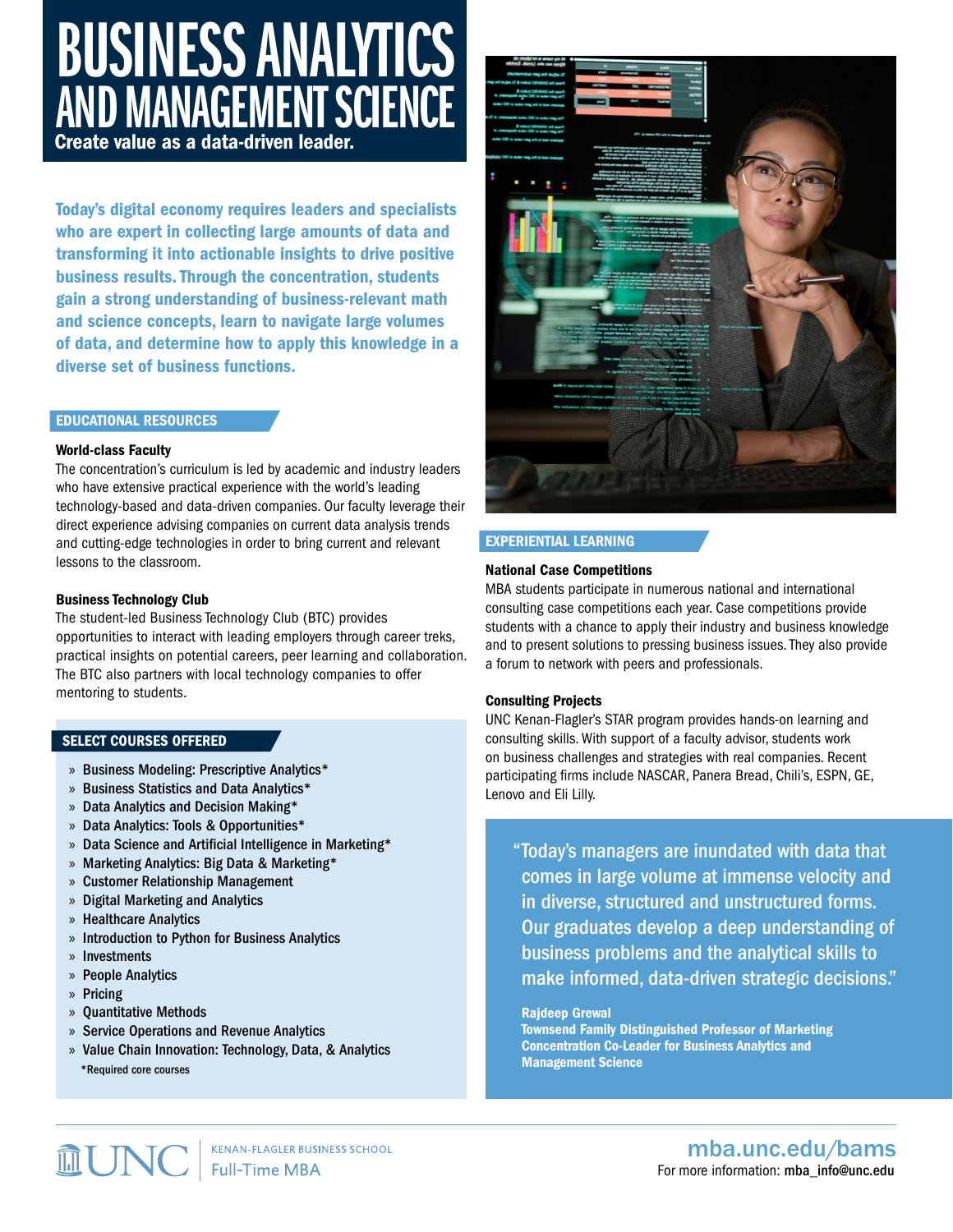# **BUSINESS ANALYTICS** AND MANAGEMENT SCIENCE

Create value as a data-driven leader.

Today's digital economy requires leaders and specialists who are expert in collecting large amounts of data and transforming it into actionable insights to drive positive business results. Through the concentration, students gain a strong understanding of business-relevant math and science concepts, learn to navigate large volumes of data, and determine how to apply this knowledge in a diverse set of business functions.

#### EDUCATIONAL RESOURCES

#### World-class Faculty

The concentration's curriculum is led by academic and industry leaders who have extensive practical experience with the world's leading technology-based and data-driven companies. Our faculty leverage their direct experience advising companies on current data analysis trends and cutting-edge technologies in order to bring current and relevant lessons to the classroom.

## Business Technology Club

The student-led Business Technology Club (BTC) provides opportunities to interact with leading employers through career treks, practical insights on potential careers, peer learning and collaboration. The BTC also partners with local technology companies to offer mentoring to students.

## SELECT COURSES OFFERED

- » Business Modeling: Prescriptive Analytics\*
- » Business Statistics and Data Analytics\*
- » Data Analytics and Decision Making\*
- » Data Analytics: Tools & Opportunities\*
- » Data Science and Artificial Intelligence in Marketing\*
- » Marketing Analytics: Big Data & Marketing\*
- » Customer Relationship Management
- » Digital Marketing and Analytics
- » Healthcare Analytics
- » Introduction to Python for Business Analytics
- » Investments
- » People Analytics
- » Pricing
- » Quantitative Methods
- » Service Operations and Revenue Analytics
- » Value Chain Innovation: Technology, Data, & Analytics \*Required core courses



## EXPERIENTIAL LEARNING

#### National Case Competitions

MBA students participate in numerous national and international consulting case competitions each year. Case competitions provide students with a chance to apply their industry and business knowledge and to present solutions to pressing business issues. They also provide a forum to network with peers and professionals.

## Consulting Projects

UNC Kenan-Flagler's STAR program provides hands-on learning and consulting skills. With support of a faculty advisor, students work on business challenges and strategies with real companies. Recent participating firms include NASCAR, Panera Bread, Chili's, ESPN, GE, Lenovo and Eli Lilly.

Today's managers are inundated with data that " comes in large volume at immense velocity and in diverse, structured and unstructured forms. Our graduates develop a deep understanding of business problems and the analytical skills to make informed, data-driven strategic decisions."

#### Rajdeep Grewal

Townsend Family Distinguished Professor of Marketing Concentration Co-Leader for Business Analytics and Management Science